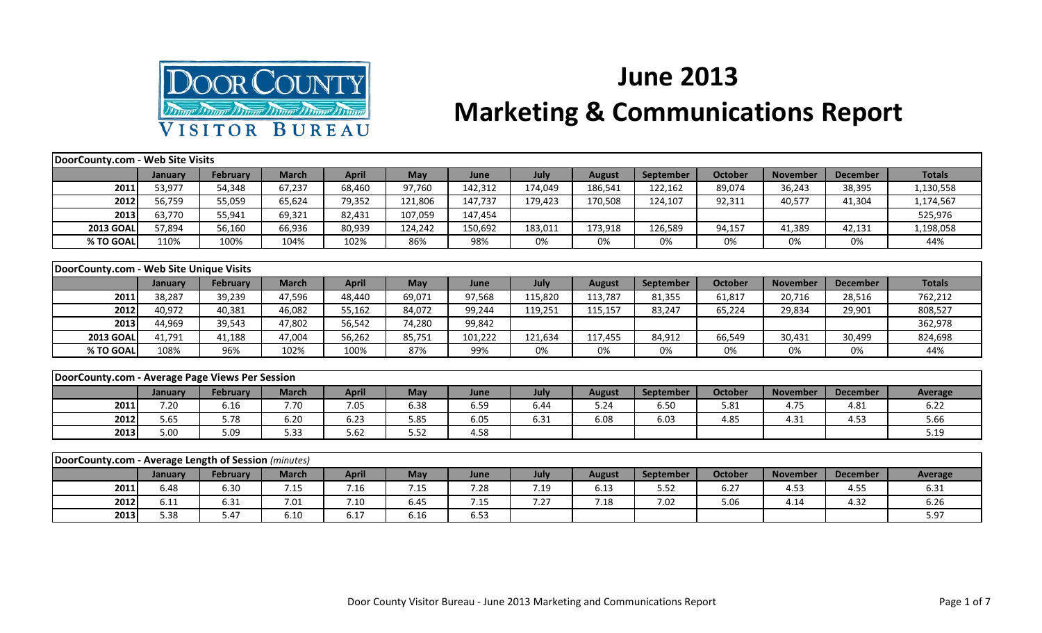

## **June 2013**

## **Marketing & Communications Report**

| DoorCounty.com - Web Site Visits                     |         |                 |              |              |            |         |             |               |                  |                |                 |                 |                |
|------------------------------------------------------|---------|-----------------|--------------|--------------|------------|---------|-------------|---------------|------------------|----------------|-----------------|-----------------|----------------|
|                                                      | January | <b>February</b> | <b>March</b> | <b>April</b> | <b>May</b> | June    | <b>July</b> | <b>August</b> | <b>September</b> | <b>October</b> | <b>November</b> | <b>December</b> | <b>Totals</b>  |
| 2011                                                 | 53,977  | 54,348          | 67,237       | 68,460       | 97,760     | 142,312 | 174,049     | 186,541       | 122,162          | 89,074         | 36,243          | 38,395          | 1,130,558      |
| 2012                                                 | 56,759  | 55,059          | 65,624       | 79,352       | 121,806    | 147,737 | 179,423     | 170,508       | 124,107          | 92,311         | 40,577          | 41,304          | 1,174,567      |
| 2013                                                 | 63,770  | 55,941          | 69,321       | 82,431       | 107,059    | 147,454 |             |               |                  |                |                 |                 | 525,976        |
| <b>2013 GOAL</b>                                     | 57,894  | 56,160          | 66,936       | 80,939       | 124,242    | 150,692 | 183,011     | 173,918       | 126,589          | 94,157         | 41,389          | 42,131          | 1,198,058      |
| % TO GOAL                                            | 110%    | 100%            | 104%         | 102%         | 86%        | 98%     | 0%          | 0%            | 0%               | 0%             | 0%              | 0%              | 44%            |
|                                                      |         |                 |              |              |            |         |             |               |                  |                |                 |                 |                |
| DoorCounty.com - Web Site Unique Visits              |         |                 |              |              |            |         |             |               |                  |                |                 |                 |                |
|                                                      | January | <b>February</b> | <b>March</b> | <b>April</b> | May        | June    | July        | <b>August</b> | <b>September</b> | <b>October</b> | <b>November</b> | <b>December</b> | <b>Totals</b>  |
| 2011                                                 | 38,287  | 39,239          | 47,596       | 48,440       | 69,071     | 97,568  | 115,820     | 113,787       | 81,355           | 61,817         | 20,716          | 28,516          | 762,212        |
| 2012                                                 | 40,972  | 40,381          | 46,082       | 55,162       | 84,072     | 99,244  | 119,251     | 115,157       | 83,247           | 65,224         | 29,834          | 29,901          | 808,527        |
| 2013                                                 | 44,969  | 39,543          | 47,802       | 56,542       | 74,280     | 99,842  |             |               |                  |                |                 |                 | 362,978        |
| <b>2013 GOAL</b>                                     | 41,791  | 41,188          | 47,004       | 56,262       | 85,751     | 101,222 | 121,634     | 117,455       | 84,912           | 66,549         | 30,431          | 30,499          | 824,698        |
| % TO GOAL                                            | 108%    | 96%             | 102%         | 100%         | 87%        | 99%     | 0%          | 0%            | 0%               | 0%             | 0%              | 0%              | 44%            |
|                                                      |         |                 |              |              |            |         |             |               |                  |                |                 |                 |                |
| DoorCounty.com - Average Page Views Per Session      |         |                 |              |              |            |         |             |               |                  |                |                 |                 |                |
|                                                      | January | <b>February</b> | <b>March</b> | <b>April</b> | May        | June    | July        | <b>August</b> | <b>September</b> | <b>October</b> | <b>November</b> | <b>December</b> | <b>Average</b> |
| 2011                                                 | 7.20    | 6.16            | 7.70         | 7.05         | 6.38       | 6.59    | 6.44        | 5.24          | 6.50             | 5.81           | 4.75            | 4.81            | 6.22           |
| 2012                                                 | 5.65    | 5.78            | 6.20         | 6.23         | 5.85       | 6.05    | 6.31        | 6.08          | 6.03             | 4.85           | 4.31            | 4.53            | 5.66           |
| 2013                                                 | 5.00    | 5.09            | 5.33         | 5.62         | 5.52       | 4.58    |             |               |                  |                |                 |                 | 5.19           |
|                                                      |         |                 |              |              |            |         |             |               |                  |                |                 |                 |                |
| DoorCounty.com - Average Length of Session (minutes) |         |                 |              |              |            |         |             |               |                  |                |                 |                 |                |
|                                                      | January | <b>February</b> | <b>March</b> | <b>April</b> | May        | June    | July        | <b>August</b> | September        | <b>October</b> | <b>November</b> | <b>December</b> | <b>Average</b> |
| 2011                                                 | 6.48    | 6.30            | 7.15         | 7.16         | 7.15       | 7.28    | 7.19        | 6.13          | 5.52             | 6.27           | 4.53            | 4.55            | 6.31           |
| 2012                                                 | 6.11    | 6.31            | 7.01         | 7.10         | 6.45       | 7.15    | 7.27        | 7.18          | 7.02             | 5.06           | 4.14            | 4.32            | 6.26           |

**2013** 5.38 5.47 6.10 6.17 6.16 6.53 February 10 1 5.97 5.97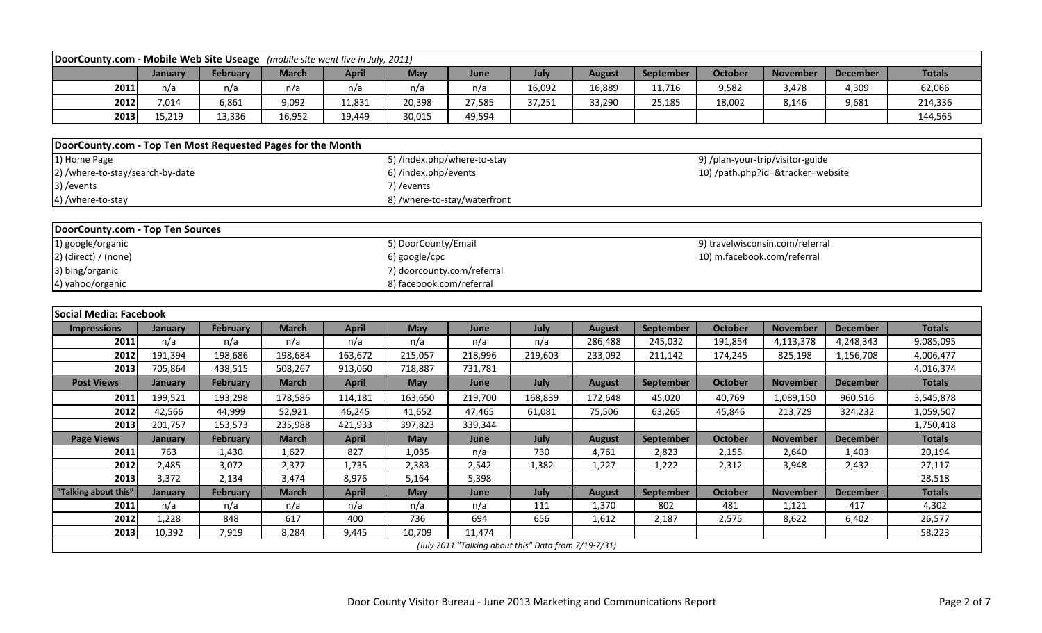| DoorCounty.com - Mobile Web Site Useage (mobile site went live in July, 2011)                                                                                                                                  |                                                                                                        |                 |              |              |                              |         |                                                      |               |           |                |                                   |                 |               |  |  |
|----------------------------------------------------------------------------------------------------------------------------------------------------------------------------------------------------------------|--------------------------------------------------------------------------------------------------------|-----------------|--------------|--------------|------------------------------|---------|------------------------------------------------------|---------------|-----------|----------------|-----------------------------------|-----------------|---------------|--|--|
|                                                                                                                                                                                                                | January                                                                                                | February        | <b>March</b> | <b>April</b> | May                          | June    | July                                                 | <b>August</b> | September | <b>October</b> | <b>November</b>                   | <b>December</b> | <b>Totals</b> |  |  |
| 2011                                                                                                                                                                                                           | n/a                                                                                                    | n/a             | n/a          | n/a          | n/a                          | n/a     | 16,092                                               | 16,889        | 11,716    | 9,582          | 3,478                             | 4,309           | 62,066        |  |  |
| 2012                                                                                                                                                                                                           | 7,014                                                                                                  | 6,861           | 9,092        | 11,831       | 20,398                       | 27,585  | 37,251                                               | 33,290        | 25,185    | 18,002         | 8,146                             | 9,681           | 214,336       |  |  |
| 2013                                                                                                                                                                                                           | 15,219                                                                                                 | 13,336          | 16,952       | 19,449       | 30,015                       | 49,594  |                                                      |               |           |                |                                   |                 | 144,565       |  |  |
|                                                                                                                                                                                                                |                                                                                                        |                 |              |              |                              |         |                                                      |               |           |                |                                   |                 |               |  |  |
| DoorCounty.com - Top Ten Most Requested Pages for the Month                                                                                                                                                    |                                                                                                        |                 |              |              |                              |         |                                                      |               |           |                |                                   |                 |               |  |  |
| 1) Home Page                                                                                                                                                                                                   |                                                                                                        |                 |              |              | 5) /index.php/where-to-stay  |         |                                                      |               |           |                | 9) /plan-your-trip/visitor-guide  |                 |               |  |  |
| 2) /where-to-stay/search-by-date                                                                                                                                                                               |                                                                                                        |                 |              |              | 6) /index.php/events         |         |                                                      |               |           |                | 10) /path.php?id=&tracker=website |                 |               |  |  |
| 3) / events                                                                                                                                                                                                    |                                                                                                        |                 |              |              | 7) / events                  |         |                                                      |               |           |                |                                   |                 |               |  |  |
| 4) /where-to-stay                                                                                                                                                                                              |                                                                                                        |                 |              |              | 8) /where-to-stay/waterfront |         |                                                      |               |           |                |                                   |                 |               |  |  |
|                                                                                                                                                                                                                |                                                                                                        |                 |              |              |                              |         |                                                      |               |           |                |                                   |                 |               |  |  |
| DoorCounty.com - Top Ten Sources                                                                                                                                                                               |                                                                                                        |                 |              |              |                              |         |                                                      |               |           |                |                                   |                 |               |  |  |
| 1) google/organic                                                                                                                                                                                              | 5) DoorCounty/Email<br>9) travelwisconsin.com/referral<br>6) google/cpc<br>10) m.facebook.com/referral |                 |              |              |                              |         |                                                      |               |           |                |                                   |                 |               |  |  |
| $2)$ (direct) / (none)                                                                                                                                                                                         | 7) doorcounty.com/referral                                                                             |                 |              |              |                              |         |                                                      |               |           |                |                                   |                 |               |  |  |
| 3) bing/organic                                                                                                                                                                                                | 8) facebook.com/referral                                                                               |                 |              |              |                              |         |                                                      |               |           |                |                                   |                 |               |  |  |
| 4) yahoo/organic                                                                                                                                                                                               |                                                                                                        |                 |              |              |                              |         |                                                      |               |           |                |                                   |                 |               |  |  |
|                                                                                                                                                                                                                |                                                                                                        |                 |              |              |                              |         |                                                      |               |           |                |                                   |                 |               |  |  |
|                                                                                                                                                                                                                |                                                                                                        |                 |              |              |                              |         |                                                      |               |           |                |                                   |                 |               |  |  |
| <b>February</b><br><b>March</b><br><b>April</b><br>May<br>July<br>September<br><b>November</b><br><b>December</b><br><b>Totals</b><br><b>Impressions</b><br>June<br><b>August</b><br><b>October</b><br>January |                                                                                                        |                 |              |              |                              |         |                                                      |               |           |                |                                   |                 |               |  |  |
| Social Media: Facebook<br>n/a<br>n/a<br>n/a<br>n/a<br>n/a<br>n/a<br>245,032<br>4,113,378<br>4,248,343<br>2011<br>n/a<br>286,488<br>191,854<br>9,085,095                                                        |                                                                                                        |                 |              |              |                              |         |                                                      |               |           |                |                                   |                 |               |  |  |
| 2012                                                                                                                                                                                                           | 191,394                                                                                                | 198,686         | 198,684      | 163,672      | 215,057                      | 218,996 | 219,603                                              | 233,092       | 211,142   | 174,245        | 825,198                           | 1,156,708       | 4,006,477     |  |  |
| 2013                                                                                                                                                                                                           | 705,864                                                                                                | 438,515         | 508,267      | 913,060      | 718,887                      | 731,781 |                                                      |               |           |                |                                   |                 | 4,016,374     |  |  |
| <b>Post Views</b>                                                                                                                                                                                              | <b>January</b>                                                                                         | <b>February</b> | <b>March</b> | <b>April</b> | <b>May</b>                   | June    | July                                                 | <b>August</b> | September | <b>October</b> | <b>November</b>                   | <b>December</b> | <b>Totals</b> |  |  |
| 2011                                                                                                                                                                                                           | 199,521                                                                                                | 193,298         | 178,586      | 114,181      | 163,650                      | 219,700 | 168,839                                              | 172,648       | 45,020    | 40,769         | 1,089,150                         | 960,516         | 3,545,878     |  |  |
| 2012                                                                                                                                                                                                           | 42,566                                                                                                 | 44,999          | 52,921       | 46,245       | 41,652                       | 47,465  | 61,081                                               | 75,506        | 63,265    | 45,846         | 213,729                           | 324,232         | 1,059,507     |  |  |
| 2013                                                                                                                                                                                                           | 201,757                                                                                                | 153,573         | 235,988      | 421,933      | 397,823                      | 339,344 |                                                      |               |           |                |                                   |                 | 1,750,418     |  |  |
| <b>Page Views</b>                                                                                                                                                                                              | January                                                                                                | <b>February</b> | <b>March</b> | <b>April</b> | May                          | June    | July                                                 | <b>August</b> | September | <b>October</b> | <b>November</b>                   | <b>December</b> | <b>Totals</b> |  |  |
| 2011                                                                                                                                                                                                           | 763                                                                                                    | 1,430           | 1,627        | 827          | 1,035                        | n/a     | 730                                                  | 4,761         | 2,823     | 2,155          | 2,640                             | 1,403           | 20,194        |  |  |
| 2012                                                                                                                                                                                                           | 2,485                                                                                                  | 3,072           | 2,377        | 1,735        | 2,383                        | 2,542   | 1,382                                                | 1,227         | 1,222     | 2,312          | 3,948                             | 2,432           | 27,117        |  |  |
| 2013                                                                                                                                                                                                           | 3,372                                                                                                  | 2,134           | 3,474        | 8,976        | 5,164                        | 5,398   |                                                      |               |           |                |                                   |                 | 28,518        |  |  |
| "Talking about this"                                                                                                                                                                                           | January                                                                                                | <b>February</b> | <b>March</b> | <b>April</b> | May                          | June    | July                                                 | <b>August</b> | September | <b>October</b> | <b>November</b>                   | <b>December</b> | <b>Totals</b> |  |  |
| 2011                                                                                                                                                                                                           | n/a                                                                                                    | n/a             | n/a          | n/a          | n/a                          | n/a     | 111                                                  | 1,370         | 802       | 481            | 1,121                             | 417             | 4,302         |  |  |
| 2012                                                                                                                                                                                                           | 1,228                                                                                                  | 848             | 617          | 400          | 736                          | 694     | 656                                                  | 1,612         | 2,187     | 2,575          | 8,622                             | 6,402           | 26,577        |  |  |
| 2013                                                                                                                                                                                                           | 10,392                                                                                                 | 7,919           | 8,284        | 9,445        | 10,709                       | 11,474  |                                                      |               |           |                |                                   |                 | 58,223        |  |  |
|                                                                                                                                                                                                                |                                                                                                        |                 |              |              |                              |         | (July 2011 "Talking about this" Data from 7/19-7/31) |               |           |                |                                   |                 |               |  |  |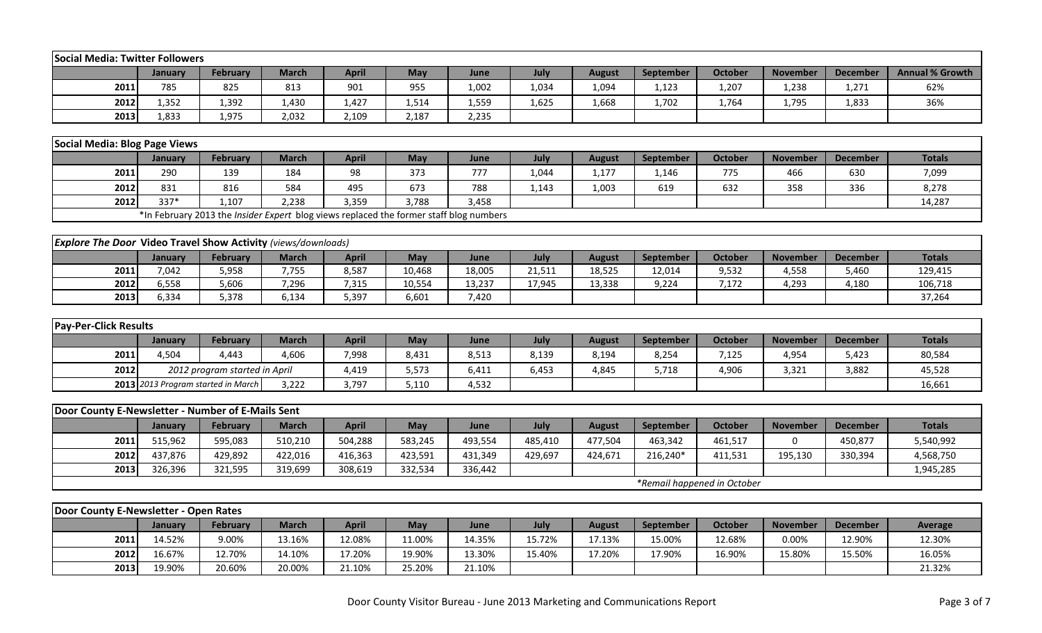| <b>Social Media: Twitter Followers</b>                               |                |                                                                                        |              |              |            |         |         |               |                  |                             |                 |                 |                        |
|----------------------------------------------------------------------|----------------|----------------------------------------------------------------------------------------|--------------|--------------|------------|---------|---------|---------------|------------------|-----------------------------|-----------------|-----------------|------------------------|
|                                                                      | January        | <b>February</b>                                                                        | <b>March</b> | <b>April</b> | <b>May</b> | June    | July    | <b>August</b> | <b>September</b> | <b>October</b>              | <b>November</b> | <b>December</b> | <b>Annual % Growth</b> |
| 2011                                                                 | 785            | 825                                                                                    | 813          | 901          | 955        | 1,002   | 1,034   | 1,094         | 1,123            | 1,207                       | 1,238           | 1,271           | 62%                    |
| 2012                                                                 | 1,352          | 1,392                                                                                  | 1,430        | 1,427        | 1,514      | 1,559   | 1,625   | 1,668         | 1,702            | 1,764                       | 1,795           | 1,833           | 36%                    |
| 2013                                                                 | 1,833          | 1,975                                                                                  | 2,032        | 2,109        | 2,187      | 2,235   |         |               |                  |                             |                 |                 |                        |
|                                                                      |                |                                                                                        |              |              |            |         |         |               |                  |                             |                 |                 |                        |
| <b>Social Media: Blog Page Views</b>                                 |                |                                                                                        |              |              |            |         |         |               |                  |                             |                 |                 |                        |
|                                                                      | January        | February                                                                               | <b>March</b> | <b>April</b> | May        | June    | July    | <b>August</b> | September        | <b>October</b>              | <b>November</b> | <b>December</b> | <b>Totals</b>          |
| 2011                                                                 | 290            | 139                                                                                    | 184          | 98           | 373        | 777     | 1,044   | 1,177         | 1,146            | 775                         | 466             | 630             | 7,099                  |
| 2012                                                                 | 831            | 816                                                                                    | 584          | 495          | 673        | 788     | 1,143   | 1,003         | 619              | 632                         | 358             | 336             | 8,278                  |
| 2012                                                                 | 337*           | 1,107                                                                                  | 2,238        | 3,359        | 3,788      | 3,458   |         |               |                  |                             |                 |                 | 14,287                 |
|                                                                      |                | *In February 2013 the Insider Expert blog views replaced the former staff blog numbers |              |              |            |         |         |               |                  |                             |                 |                 |                        |
|                                                                      |                |                                                                                        |              |              |            |         |         |               |                  |                             |                 |                 |                        |
| <b>Explore The Door Video Travel Show Activity (views/downloads)</b> |                |                                                                                        |              |              |            |         |         |               |                  |                             |                 |                 |                        |
|                                                                      | January        | February                                                                               | <b>March</b> | <b>April</b> | May        | June    | July    | <b>August</b> | September        | <b>October</b>              | <b>November</b> | <b>December</b> | <b>Totals</b>          |
| 2011                                                                 | 7,042          | 5,958                                                                                  | 7,755        | 8,587        | 10,468     | 18,005  | 21,511  | 18,525        | 12,014           | 9,532                       | 4,558           | 5,460           | 129,415                |
| 2012                                                                 | 6,558          | 5,606                                                                                  | 7,296        | 7,315        | 10,554     | 13,237  | 17,945  | 13,338        | 9,224            | 7,172                       | 4,293           | 4,180           | 106,718                |
| 2013                                                                 | 6,334          | 5,378                                                                                  | 6,134        | 5,397        | 6,601      | 7,420   |         |               |                  |                             |                 |                 | 37,264                 |
|                                                                      |                |                                                                                        |              |              |            |         |         |               |                  |                             |                 |                 |                        |
| <b>Pay-Per-Click Results</b>                                         |                |                                                                                        |              |              |            |         |         |               |                  |                             |                 |                 |                        |
|                                                                      | January        | February                                                                               | <b>March</b> | <b>April</b> | May        | June    | July    | <b>August</b> | September        | <b>October</b>              | <b>November</b> | <b>December</b> | <b>Totals</b>          |
| 2011                                                                 | 4,504          | 4,443                                                                                  | 4,606        | 7,998        | 8,431      | 8,513   | 8,139   | 8,194         | 8,254            | 7,125                       | 4,954           | 5,423           | 80,584                 |
| 2012                                                                 |                | 2012 program started in April                                                          |              | 4,419        | 5,573      | 6,411   | 6,453   | 4,845         | 5,718            | 4,906                       | 3,321           | 3,882           | 45,528                 |
|                                                                      |                | 2013 2013 Program started in March                                                     | 3,222        | 3,797        | 5,110      | 4,532   |         |               |                  |                             |                 |                 | 16,661                 |
|                                                                      |                |                                                                                        |              |              |            |         |         |               |                  |                             |                 |                 |                        |
| Door County E-Newsletter - Number of E-Mails Sent                    |                |                                                                                        |              |              |            |         |         |               |                  |                             |                 |                 |                        |
|                                                                      | January        | <b>February</b>                                                                        | <b>March</b> | <b>April</b> | May        | June    | July    | <b>August</b> | September        | <b>October</b>              | <b>November</b> | <b>December</b> | <b>Totals</b>          |
| 2011                                                                 | 515,962        | 595,083                                                                                | 510,210      | 504,288      | 583,245    | 493,554 | 485,410 | 477,504       | 463,342          | 461,517                     | $\Omega$        | 450,877         | 5,540,992              |
| 2012                                                                 | 437,876        | 429,892                                                                                | 422,016      | 416,363      | 423,591    | 431,349 | 429,697 | 424,671       | 216,240*         | 411,531                     | 195,130         | 330,394         | 4,568,750              |
| 2013                                                                 | 326,396        | 321,595                                                                                | 319,699      | 308,619      | 332,534    | 336,442 |         |               |                  |                             |                 |                 | 1,945,285              |
|                                                                      |                |                                                                                        |              |              |            |         |         |               |                  | *Remail happened in October |                 |                 |                        |
|                                                                      |                |                                                                                        |              |              |            |         |         |               |                  |                             |                 |                 |                        |
| Door County E-Newsletter - Open Rates                                |                |                                                                                        |              |              |            |         |         |               |                  |                             |                 |                 |                        |
|                                                                      | <b>January</b> | February                                                                               | <b>March</b> | <b>April</b> | May        | June    | July    | <b>August</b> | September        | <b>October</b>              | <b>November</b> | <b>December</b> | Average                |
| 2011                                                                 | 14.52%         | 9.00%                                                                                  | 13.16%       | 12.08%       | 11.00%     | 14.35%  | 15.72%  | 17.13%        | 15.00%           | 12.68%                      | 0.00%           | 12.90%          | 12.30%                 |
| 2012                                                                 | 16.67%         | 12.70%                                                                                 | 14.10%       | 17.20%       | 19.90%     | 13.30%  | 15.40%  | 17.20%        | 17.90%           | 16.90%                      | 15.80%          | 15.50%          | 16.05%                 |
| 2013                                                                 | 19.90%         | 20.60%                                                                                 | 20.00%       | 21.10%       | 25.20%     | 21.10%  |         |               |                  |                             |                 |                 | 21.32%                 |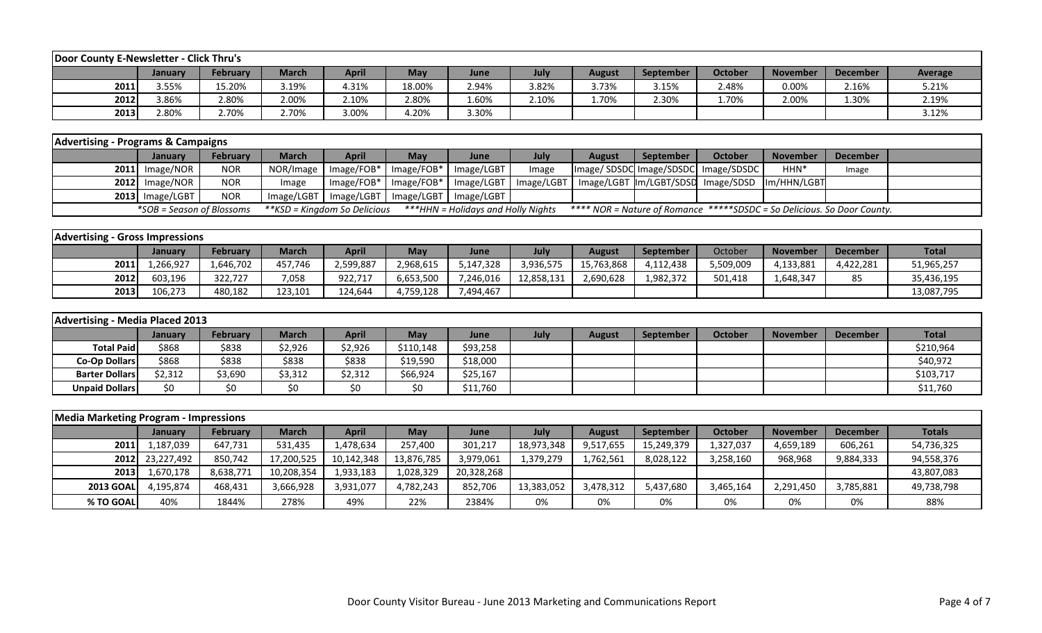| Door County E-Newsletter - Click Thru's |         |                 |              |         |            |             |       |               |                  |         |                 |                 |         |
|-----------------------------------------|---------|-----------------|--------------|---------|------------|-------------|-------|---------------|------------------|---------|-----------------|-----------------|---------|
|                                         | January | <b>February</b> | <b>March</b> | April   | <b>May</b> | <b>June</b> | July  | <b>August</b> | <b>September</b> | October | <b>November</b> | <b>December</b> | Average |
| 2011                                    | 3.55%   | 15.20%          | 3.19%        | 4.31%   | 18.00%     | 2.94%       | 3.82% | 3.73%         | 3.15%            | 2.48%   | 0.00%           | 2.16%           | 5.21%   |
| 2012                                    | 3.86%   | 2.80%           | 2.00%        | 4.10%   | 2.80%      | 1.60%       | 2.10% | 1.70%         | 2.30%            | 1.70%   | 2.00%           | 1.30%           | 2.19%   |
| 2013                                    | 2.80%   | 2.70%           | 2.70%        | $.00\%$ | 4.20%      | 3.30%       |       |               |                  |         |                 |                 | 3.12%   |

| <b>Advertising - Programs &amp; Campaigns</b> |                           |                 |                              |              |                                                   |                                    |       |               |           |                                                                                                          |                  |          |  |
|-----------------------------------------------|---------------------------|-----------------|------------------------------|--------------|---------------------------------------------------|------------------------------------|-------|---------------|-----------|----------------------------------------------------------------------------------------------------------|------------------|----------|--|
|                                               | <b>January</b>            | <b>February</b> | March                        | <b>April</b> | Mav                                               | June                               | July  | <b>August</b> | September | October                                                                                                  | <b>November</b>  | December |  |
|                                               | $2011$ Image/NOR          | <b>NOR</b>      |                              |              | NOR/Image   Image/FOB*   Image/FOB*   Image/LGBT  |                                    | Image |               |           | Image/SDSDC Image/SDSDC Image/SDSDC                                                                      | HHN <sup>*</sup> | Image    |  |
|                                               | $2012$ Image/NOR          | <b>NOR</b>      | Image                        |              |                                                   |                                    |       |               |           | Image/FOB*   Image/FOB*   Image/LGBT   Image/LGBT   Image/LGBT   Im/LGBT/SDSD   Image/SDSD   Im/HHN/LGBT |                  |          |  |
|                                               | $2013$ Image/LGBT         | <b>NOR</b>      |                              |              | Image/LGBT   Image/LGBT   Image/LGBT   Image/LGBT |                                    |       |               |           |                                                                                                          |                  |          |  |
|                                               | *SOB = Season of Blossoms |                 | **KSD = Kingdom So Delicious |              |                                                   | ***HHN = Holidays and Holly Nights |       |               |           | **** NOR = Nature of Romance *****SDSDC = So Delicious. So Door County.                                  |                  |          |  |

| <b>Advertising - Gross Impressions</b> |                |           |         |           |           |             |            |            |                  |           |                 |                 |              |
|----------------------------------------|----------------|-----------|---------|-----------|-----------|-------------|------------|------------|------------------|-----------|-----------------|-----------------|--------------|
|                                        | <b>January</b> | February  | March   | April     | May       | <b>June</b> | July       | August     | <b>September</b> | October   | <b>November</b> | <b>December</b> | <b>Total</b> |
| 2011                                   | .,266,927      | 1,646,702 | 457.746 | 2,599,887 | 2,968,615 | 5,147,328   | 3,936,575  | 15,763,868 | 4,112,438        | 5,509,009 | 4,133,881       | 4,422,281       | 51,965,257   |
| 2012                                   | 603,196        | 322,727   | 7,058   | 922,717   | 6,653,500 | 7,246,016   | 12,858,131 | 2,690,628  | 1,982,372        | 501,418   | .,648,347       | 85              | 35,436,195   |
| 2013                                   | 106,273        | 480,182   | 123,101 | 124,644   | 4,759,128 | 7,494,467   |            |            |                  |           |                 |                 | 13,087,795   |

| Advertising - Media Placed 2013 |         |                 |              |              |            |          |      |               |           |         |                 |                 |              |
|---------------------------------|---------|-----------------|--------------|--------------|------------|----------|------|---------------|-----------|---------|-----------------|-----------------|--------------|
|                                 | Januarv | <b>February</b> | <b>March</b> | <b>April</b> | <b>May</b> | June     | July | <b>August</b> | September | October | <b>November</b> | <b>December</b> | <b>Total</b> |
| <b>Total Paid</b>               | \$868   | \$838           | \$2,926      | \$2,926      | \$110,148  | \$93,258 |      |               |           |         |                 |                 | \$210,964    |
| <b>Co-Op Dollars</b>            | \$868   | \$838           | \$838        | \$838        | \$19,590   | \$18,000 |      |               |           |         |                 |                 | \$40,972     |
| <b>Barter Dollars</b>           | \$2,312 | \$3,690         | \$3,312      | \$2,312      | \$66,924   | \$25,167 |      |               |           |         |                 |                 | \$103,717    |
| <b>Unpaid Dollars</b>           | \$0     | \$0             |              | \$0          | \$0        | \$11,760 |      |               |           |         |                 |                 | \$11,760     |

| <b>Media Marketing Program - Impressions</b> |                 |                 |              |              |            |            |            |               |                  |           |                 |                 |               |
|----------------------------------------------|-----------------|-----------------|--------------|--------------|------------|------------|------------|---------------|------------------|-----------|-----------------|-----------------|---------------|
|                                              | January         | <b>February</b> | <b>March</b> | <b>April</b> | <b>May</b> | June       | July       | <b>August</b> | <b>September</b> | October   | <b>November</b> | <b>December</b> | <b>Totals</b> |
| 2011                                         | 1,187,039       | 647,731         | 531,435      | 1,478,634    | 257,400    | 301,217    | 18,973,348 | 9,517,655     | 15,249,379       | 1,327,037 | 4,659,189       | 606,261         | 54,736,325    |
|                                              | 2012 23,227,492 | 850,742         | 17,200,525   | 10,142,348   | 13,876,785 | 3,979,061  | 1,379,279  | 1,762,561     | 8,028,122        | 3,258,160 | 968,968         | 9,884,333       | 94,558,376    |
| 2013                                         | 1,670,178       | 8,638,771       | 10,208,354   | 1,933,183    | 1,028,329  | 20,328,268 |            |               |                  |           |                 |                 | 43,807,083    |
| <b>2013 GOAL</b>                             | 4.195.874       | 468,431         | 3,666,928    | 3,931,077    | 4,782,243  | 852.706    | 13,383,052 | 3,478,312     | 5,437,680        | 3,465,164 | 2,291,450       | 3,785,881       | 49,738,798    |
| % TO GOAL                                    | 40%             | 1844%           | 278%         | 49%          | 22%        | 2384%      | 0%         | 0%            | 0%               | 0%        | 0%              | 0%              | 88%           |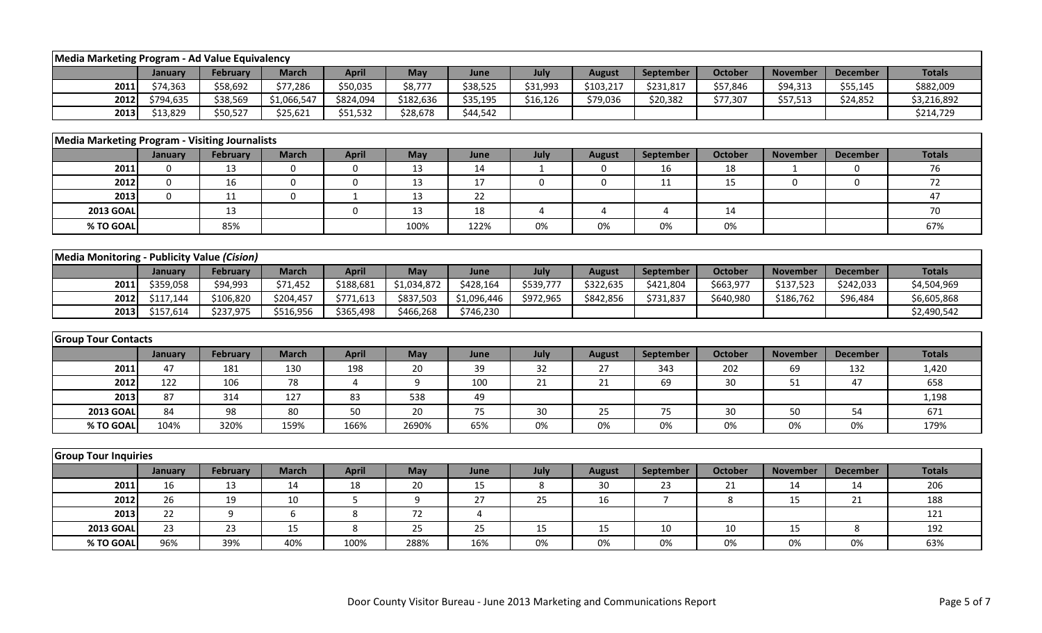| Media Marketing Program - Ad Value Equivalency        |                  |                 |              |                  |             |             |              |               |                  |                |                 |                 |               |
|-------------------------------------------------------|------------------|-----------------|--------------|------------------|-------------|-------------|--------------|---------------|------------------|----------------|-----------------|-----------------|---------------|
|                                                       | January          | <b>February</b> | <b>March</b> | <b>April</b>     | May         | June        | July         | <b>August</b> | September        | <b>October</b> | <b>November</b> | <b>December</b> | <b>Totals</b> |
| 2011                                                  | \$74,363         | \$58,692        | \$77,286     | \$50,035         | \$8,777     | \$38,525    | \$31,993     | \$103,217     | \$231,817        | \$57,846       | \$94,313        | \$55,145        | \$882,009     |
| 2012                                                  | \$794,635        | \$38,569        | \$1,066,547  | \$824,094        | \$182,636   | \$35,195    | \$16,126     | \$79,036      | \$20,382         | \$77,307       | \$57,513        | \$24,852        | \$3,216,892   |
| 2013                                                  | \$13,829         | \$50,527        | \$25,621     | \$51,532         | \$28,678    | \$44,542    |              |               |                  |                |                 |                 | \$214,729     |
|                                                       |                  |                 |              |                  |             |             |              |               |                  |                |                 |                 |               |
| <b>Media Marketing Program - Visiting Journalists</b> |                  |                 |              |                  |             |             |              |               |                  |                |                 |                 |               |
|                                                       | January          | February        | <b>March</b> | <b>April</b>     | May         | June        | July         | <b>August</b> | September        | <b>October</b> | <b>November</b> | <b>December</b> | <b>Totals</b> |
| 2011                                                  | 0                | 13              | $\mathbf 0$  | $\pmb{0}$        | 13          | 14          | $\mathbf{1}$ | 0             | 16               | 18             | $\overline{1}$  | 0               | 76            |
| 2012                                                  | $\boldsymbol{0}$ | 16              | $\mathbf 0$  | $\boldsymbol{0}$ | 13          | 17          | 0            | $\mathbf 0$   | 11               | 15             | 0               | $\mathbf 0$     | 72            |
| 2013                                                  | $\mathbf 0$      | 11              | $\pmb{0}$    | $\mathbf 1$      | 13          | 22          |              |               |                  |                |                 |                 | 47            |
| <b>2013 GOAL</b>                                      |                  | 13              |              | $\boldsymbol{0}$ | 13          | 18          | 4            | 4             | $\overline{a}$   | 14             |                 |                 | 70            |
| % TO GOAL                                             |                  | 85%             |              |                  | 100%        | 122%        | 0%           | 0%            | 0%               | 0%             |                 |                 | 67%           |
|                                                       |                  |                 |              |                  |             |             |              |               |                  |                |                 |                 |               |
| Media Monitoring - Publicity Value (Cision)           |                  |                 |              |                  |             |             |              |               |                  |                |                 |                 |               |
|                                                       | January          | February        | <b>March</b> | <b>April</b>     | May         | June        | July         | <b>August</b> | September        | <b>October</b> | <b>November</b> | <b>December</b> | <b>Totals</b> |
| 2011                                                  | \$359,058        | \$94,993        | \$71,452     | \$188,681        | \$1,034,872 | \$428,164   | \$539,777    | \$322,635     | \$421,804        | \$663,977      | \$137,523       | \$242,033       | \$4,504,969   |
| 2012                                                  | \$117,144        | \$106,820       | \$204,457    | \$771,613        | \$837,503   | \$1,096,446 | \$972,965    | \$842,856     | \$731,837        | \$640,980      | \$186,762       | \$96,484        | \$6,605,868   |
| 2013                                                  | \$157,614        | \$237,975       | \$516,956    | \$365,498        | \$466,268   | \$746,230   |              |               |                  |                |                 |                 | \$2,490,542   |
|                                                       |                  |                 |              |                  |             |             |              |               |                  |                |                 |                 |               |
| <b>Group Tour Contacts</b>                            |                  |                 |              |                  |             |             |              |               |                  |                |                 |                 |               |
|                                                       | January          | <b>February</b> | <b>March</b> | <b>April</b>     | May         | June        | July         | <b>August</b> | September        | <b>October</b> | <b>November</b> | <b>December</b> | <b>Totals</b> |
| 2011                                                  | 47               | 181             | 130          | 198              | 20          | 39          | 32           | 27            | 343              | 202            | 69              | 132             | 1,420         |
| 2012                                                  | 122              | 106             | 78           | 4                | 9           | 100         | 21           | 21            | 69               | 30             | 51              | 47              | 658           |
| 2013                                                  | 87               | 314             | 127          | 83               | 538         | 49          |              |               |                  |                |                 |                 | 1,198         |
| <b>2013 GOAL</b>                                      | 84               | 98              | 80           | 50               | 20          | 75          | 30           | 25            | 75               | 30             | 50              | 54              | 671           |
| % TO GOAL                                             | 104%             | 320%            | 159%         | 166%             | 2690%       | 65%         | 0%           | 0%            | $0\%$            | 0%             | 0%              | 0%              | 179%          |
|                                                       |                  |                 |              |                  |             |             |              |               |                  |                |                 |                 |               |
| <b>Group Tour Inquiries</b>                           |                  |                 |              |                  |             |             |              |               |                  |                |                 |                 |               |
|                                                       | January          | February        | <b>March</b> | <b>April</b>     | May         | June        | July         | <b>August</b> | <b>September</b> | <b>October</b> | <b>November</b> | <b>December</b> | <b>Totals</b> |
| 2011                                                  | 16               | 13              | 14           | 18               | 20          | 15          | 8            | 30            | 23               | 21             | 14              | 14              | 206           |
| 2012                                                  | 26               | 19              | 10           | $\overline{5}$   | 9           | 27          | 25           | 16            | $\overline{7}$   | 8              | 15              | 21              | 188           |
| 2013                                                  | 22               | 9               | $6\,$        | 8                | 72          | 4           |              |               |                  |                |                 |                 | 121           |
| <b>2013 GOAL</b>                                      | 23               | 23              | 15           | 8                | 25          | 25          | 15           | 15            | 10               | 10             | 15              | 8               | 192           |
| % TO GOAL                                             | 96%              | 39%             | 40%          | 100%             | 288%        | 16%         | 0%           | 0%            | 0%               | 0%             | 0%              | 0%              | 63%           |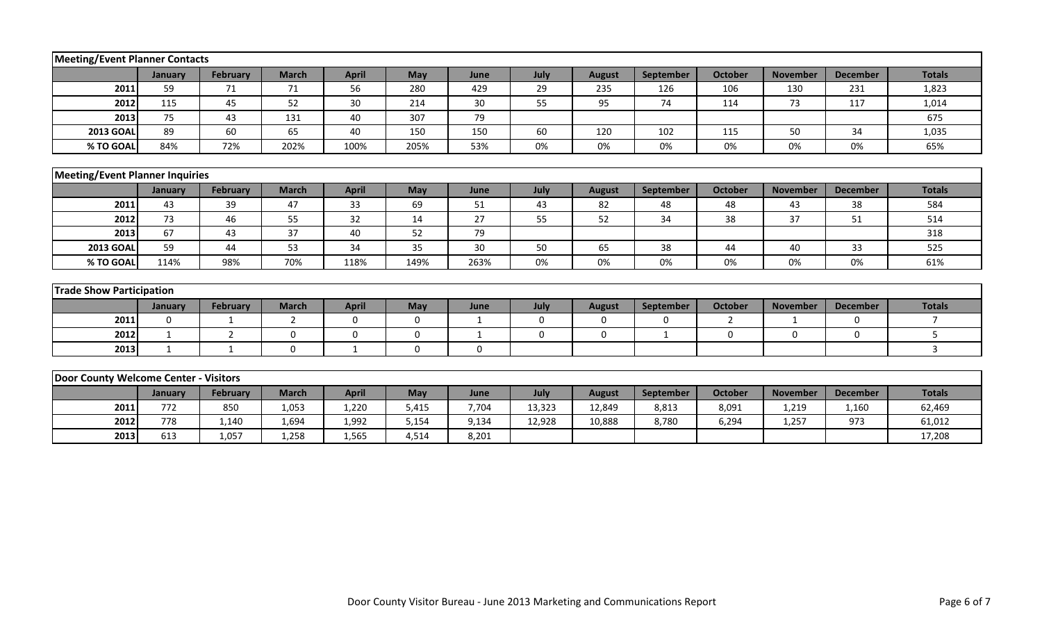| Meeting/Event Planner Contacts         |             |                 |              |              |             |              |             |               |             |                |                 |                 |                |
|----------------------------------------|-------------|-----------------|--------------|--------------|-------------|--------------|-------------|---------------|-------------|----------------|-----------------|-----------------|----------------|
|                                        | January     | <b>February</b> | <b>March</b> | <b>April</b> | May         | June         | July        | <b>August</b> | September   | <b>October</b> | <b>November</b> | <b>December</b> | <b>Totals</b>  |
| 2011                                   | 59          | 71              | 71           | 56           | 280         | 429          | 29          | 235           | 126         | 106            | 130             | 231             | 1,823          |
| 2012                                   | 115         | 45              | 52           | 30           | 214         | 30           | 55          | 95            | 74          | 114            | 73              | 117             | 1,014          |
| 2013                                   | 75          | 43              | 131          | 40           | 307         | 79           |             |               |             |                |                 |                 | 675            |
| <b>2013 GOAL</b>                       | 89          | 60              | 65           | 40           | 150         | 150          | 60          | 120           | 102         | 115            | 50              | 34              | 1,035          |
| % TO GOAL                              | 84%         | 72%             | 202%         | 100%         | 205%        | 53%          | 0%          | 0%            | 0%          | 0%             | 0%              | 0%              | 65%            |
|                                        |             |                 |              |              |             |              |             |               |             |                |                 |                 |                |
| <b>Meeting/Event Planner Inquiries</b> |             |                 |              |              |             |              |             |               |             |                |                 |                 |                |
|                                        | January     | February        | <b>March</b> | <b>April</b> | May         | June         | July        | <b>August</b> | September   | <b>October</b> | <b>November</b> | <b>December</b> | <b>Totals</b>  |
| 2011                                   | 43          | 39              | 47           | 33           | 69          | 51           | 43          | 82            | 48          | 48             | 43              | 38              | 584            |
| 2012                                   | 73          | 46              | 55           | 32           | 14          | 27           | 55          | 52            | 34          | 38             | 37              | 51              | 514            |
| 2013                                   | 67          | 43              | 37           | 40           | 52          | 79           |             |               |             |                |                 |                 | 318            |
| <b>2013 GOAL</b>                       | 59          | 44              | 53           | 34           | 35          | 30           | 50          | 65            | 38          | 44             | 40              | 33              | 525            |
| % TO GOAL                              | 114%        | 98%             | 70%          | 118%         | 149%        | 263%         | 0%          | 0%            | 0%          | 0%             | 0%              | 0%              | 61%            |
|                                        |             |                 |              |              |             |              |             |               |             |                |                 |                 |                |
| <b>Trade Show Participation</b>        |             |                 |              |              |             |              |             |               |             |                |                 |                 |                |
|                                        | January     | <b>February</b> | <b>March</b> | <b>April</b> | May         | June         | July        | <b>August</b> | September   | <b>October</b> | <b>November</b> | <b>December</b> | <b>Totals</b>  |
| 2011                                   | $\mathbf 0$ | $\mathbf{1}$    | 2            | $\mathbf 0$  | $\mathbf 0$ | $\mathbf{1}$ | $\mathbf 0$ | $\mathbf 0$   | $\mathbf 0$ | $\overline{2}$ | $\mathbf{1}$    | $\mathbf 0$     | $\overline{7}$ |
| 2012                                   | 1           | 2               | $\Omega$     | $\mathbf 0$  | $\mathbf 0$ | $\mathbf{1}$ | 0           | $\mathbf 0$   | 1           | 0              | $\Omega$        | $\Omega$        | 5              |
| 2013                                   | 1           | $\mathbf{1}$    | $\mathbf 0$  | $\mathbf{1}$ | $\mathbf 0$ | 0            |             |               |             |                |                 |                 | 3              |
|                                        |             |                 |              |              |             |              |             |               |             |                |                 |                 |                |
| Door County Welcome Center - Visitors  |             |                 |              |              |             |              |             |               |             |                |                 |                 |                |
|                                        | January     | <b>February</b> | <b>March</b> | <b>April</b> | May         | June         | July        | <b>August</b> | September   | <b>October</b> | <b>November</b> | <b>December</b> | <b>Totals</b>  |
| 2011                                   | 772         | 850             | 1,053        | 1,220        | 5,415       | 7,704        | 13,323      | 12,849        | 8,813       | 8,091          | 1,219           | 1,160           | 62,469         |
| 2012                                   | 778         | 1,140           | 1,694        | 1,992        | 5,154       | 9,134        | 12,928      | 10,888        | 8,780       | 6,294          | 1,257           | 973             | 61,012         |
| 2013                                   | 613         | 1,057           | 1,258        | 1,565        | 4,514       | 8,201        |             |               |             |                |                 |                 | 17,208         |